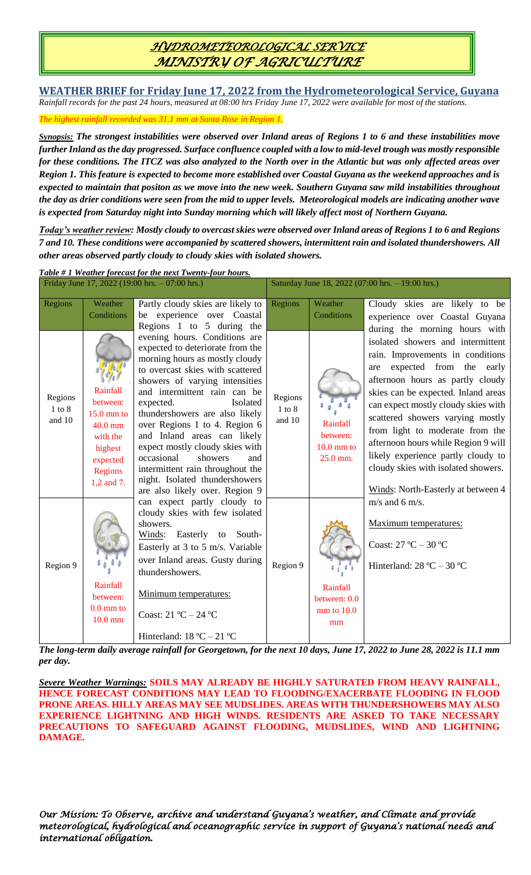## *HYDROMETEOROLOGICAL SERVICE MINISTRY OF AGRICULTURE*

**WEATHER BRIEF for Friday June 17, 2022 from the Hydrometeorological Service, Guyana** *Rainfall records for the past 24 hours, measured at 08:00 hrs Friday June 17, 2022 were available for most of the stations.*

*The highest rainfall recorded was 31.1 mm at Santa Rose in Region 1.*

*Synopsis: The strongest instabilities were observed over Inland areas of Regions 1 to 6 and these instabilities move further Inland as the day progressed. Surface confluence coupled with a low to mid-level trough was mostly responsible for these conditions. The ITCZ was also analyzed to the North over in the Atlantic but was only affected areas over Region 1. This feature is expected to become more established over Coastal Guyana as the weekend approaches and is expected to maintain that positon as we move into the new week. Southern Guyana saw mild instabilities throughout the day as drier conditions were seen from the mid to upper levels. Meteorological models are indicating another wave is expected from Saturday night into Sunday morning which will likely affect most of Northern Guyana.* 

*Today's weather review: Mostly cloudy to overcast skies were observed over Inland areas of Regions 1 to 6 and Regions 7 and 10. These conditions were accompanied by scattered showers, intermittent rain and isolated thundershowers. All other areas observed partly cloudy to cloudy skies with isolated showers.* 

| Table #1 Weather forecast for the next Twenty-four hours. |                                                                                                               |                                                                                                                                                                                                                                                                                                                                                                                                                                                                                                                                                                                                                                                                                                                                                                                                                          |                                                  |                                                  |                                                                                                                                                                                                                                                                                                                                                                                                                                                                                             |  |  |  |
|-----------------------------------------------------------|---------------------------------------------------------------------------------------------------------------|--------------------------------------------------------------------------------------------------------------------------------------------------------------------------------------------------------------------------------------------------------------------------------------------------------------------------------------------------------------------------------------------------------------------------------------------------------------------------------------------------------------------------------------------------------------------------------------------------------------------------------------------------------------------------------------------------------------------------------------------------------------------------------------------------------------------------|--------------------------------------------------|--------------------------------------------------|---------------------------------------------------------------------------------------------------------------------------------------------------------------------------------------------------------------------------------------------------------------------------------------------------------------------------------------------------------------------------------------------------------------------------------------------------------------------------------------------|--|--|--|
|                                                           |                                                                                                               | Friday June 17, 2022 (19:00 hrs. - 07:00 hrs.)                                                                                                                                                                                                                                                                                                                                                                                                                                                                                                                                                                                                                                                                                                                                                                           | Saturday June 18, 2022 (07:00 hrs. - 19:00 hrs.) |                                                  |                                                                                                                                                                                                                                                                                                                                                                                                                                                                                             |  |  |  |
| Regions                                                   | Weather<br>Conditions                                                                                         | Partly cloudy skies are likely to<br>be experience over Coastal<br>Regions 1 to 5 during the                                                                                                                                                                                                                                                                                                                                                                                                                                                                                                                                                                                                                                                                                                                             | Regions                                          | Weather<br>Conditions                            | Cloudy skies are likely to be<br>experience over Coastal Guyana                                                                                                                                                                                                                                                                                                                                                                                                                             |  |  |  |
| Regions<br>$1$ to $8$<br>and 10                           | Rainfall<br>between:<br>$15.0$ mm to<br>$40.0$ mm<br>with the<br>highest<br>expected<br>Regions<br>1,2 and 7. | evening hours. Conditions are<br>expected to deteriorate from the<br>morning hours as mostly cloudy<br>to overcast skies with scattered<br>showers of varying intensities<br>and intermittent rain can be<br>expected.<br>Isolated<br>thundershowers are also likely<br>over Regions 1 to 4. Region 6<br>and Inland areas can likely<br>expect mostly cloudy skies with<br>occasional<br>showers<br>and<br>intermittent rain throughout the<br>night. Isolated thundershowers<br>are also likely over. Region 9<br>can expect partly cloudy to<br>cloudy skies with few isolated<br>showers.<br>Winds: Easterly to<br>South-<br>Easterly at 3 to 5 m/s. Variable<br>over Inland areas. Gusty during<br>thundershowers.<br>Minimum temperatures:<br>Coast: $21 °C - 24 °C$<br>Hinterland: $18 \text{ °C} - 21 \text{ °C}$ | Regions<br>$1$ to $8$<br>and 10                  | Rainfall<br>between:<br>$10.0$ mm to<br>25.0 mm. | during the morning hours with<br>isolated showers and intermittent<br>rain. Improvements in conditions<br>expected from the early<br>are<br>afternoon hours as partly cloudy<br>skies can be expected. Inland areas<br>can expect mostly cloudy skies with<br>scattered showers varying mostly<br>from light to moderate from the<br>afternoon hours while Region 9 will<br>likely experience partly cloudy to<br>cloudy skies with isolated showers.<br>Winds: North-Easterly at between 4 |  |  |  |
| Region 9                                                  | Rainfall<br>between:<br>$0.0$ mm to<br>$10.0$ mm                                                              |                                                                                                                                                                                                                                                                                                                                                                                                                                                                                                                                                                                                                                                                                                                                                                                                                          | Region 9                                         | Rainfall<br>between: 0.0<br>$mm$ to $10.0$<br>mm | $m/s$ and 6 m/s.<br>Maximum temperatures:<br>Coast: $27^{\circ}$ C $- 30^{\circ}$ C<br>Hinterland: $28 °C - 30 °C$                                                                                                                                                                                                                                                                                                                                                                          |  |  |  |
|                                                           | $J_{\mu\nu}$ : $I_{\mu\nu}$                                                                                   |                                                                                                                                                                                                                                                                                                                                                                                                                                                                                                                                                                                                                                                                                                                                                                                                                          |                                                  |                                                  | $f_{\text{out}}$ the next 10 June Line 17, 2022 to Line 20, 2022 is 11.1.                                                                                                                                                                                                                                                                                                                                                                                                                   |  |  |  |

*The long-term daily average rainfall for Georgetown, for the next 10 days, June 17, 2022 to June 28, 2022 is 11.1 mm per day.*

*Severe Weather Warnings:* **SOILS MAY ALREADY BE HIGHLY SATURATED FROM HEAVY RAINFALL, HENCE FORECAST CONDITIONS MAY LEAD TO FLOODING/EXACERBATE FLOODING IN FLOOD PRONE AREAS. HILLY AREAS MAY SEE MUDSLIDES. AREAS WITH THUNDERSHOWERS MAY ALSO EXPERIENCE LIGHTNING AND HIGH WINDS. RESIDENTS ARE ASKED TO TAKE NECESSARY PRECAUTIONS TO SAFEGUARD AGAINST FLOODING, MUDSLIDES, WIND AND LIGHTNING DAMAGE.**

*Our Mission: To Observe, archive and understand Guyana's weather, and Climate and provide meteorological, hydrological and oceanographic service in support of Guyana's national needs and international obligation.*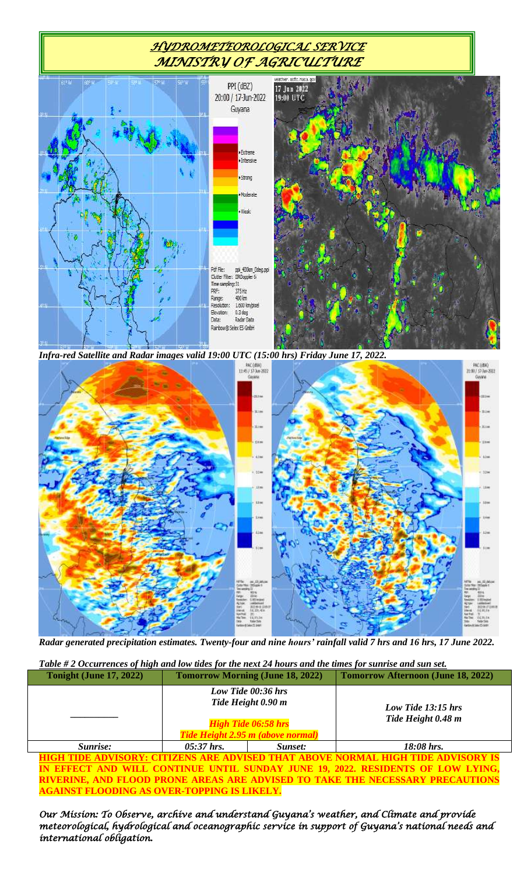## *HYDROMETEOROLOGICAL SERVICE MINISTRY OF AGRICULTURE*



*Infra-red Satellite and Radar images valid 19:00 UTC (15:00 hrs) Friday June 17, 2022.*



*Radar generated precipitation estimates. Twenty-four and nine hours' rainfall valid 7 hrs and 16 hrs, 17 June 2022.*

| Table #2 Occurrences of high and low tides for the next 24 hours and the times for sunrise and sun set. |  |  |
|---------------------------------------------------------------------------------------------------------|--|--|
|                                                                                                         |  |  |

| <b>Tonight (June 17, 2022)</b> |                                                                                                             | <b>Tomorrow Morning (June 18, 2022)</b> | <b>Tomorrow Afternoon (June 18, 2022)</b> |  |  |  |  |
|--------------------------------|-------------------------------------------------------------------------------------------------------------|-----------------------------------------|-------------------------------------------|--|--|--|--|
|                                | Low Tide 00:36 hrs<br>Tide Height 0.90 m<br><b>High Tide 06:58 hrs</b><br>Tide Height 2.95 m (above normal) |                                         | Low Tide 13:15 hrs<br>Tide Height 0.48 m  |  |  |  |  |
| Sunrise:                       | $05:37$ hrs.                                                                                                | Sunset:                                 | 18:08 hrs.                                |  |  |  |  |
|                                |                                                                                                             |                                         |                                           |  |  |  |  |

**HIGH TIDE ADVISORY: CITIZENS ARE ADVISED THAT ABOVE NORMAL HIGH TIDE ADVISORY IS IN EFFECT AND WILL CONTINUE UNTIL SUNDAY JUNE 19, 2022. RESIDENTS OF LOW LYING, RIVERINE, AND FLOOD PRONE AREAS ARE ADVISED TO TAKE THE NECESSARY PRECAUTIONS AGAINST FLOODING AS OVER-TOPPING IS LIKELY.**

*Our Mission: To Observe, archive and understand Guyana's weather, and Climate and provide meteorological, hydrological and oceanographic service in support of Guyana's national needs and international obligation.*